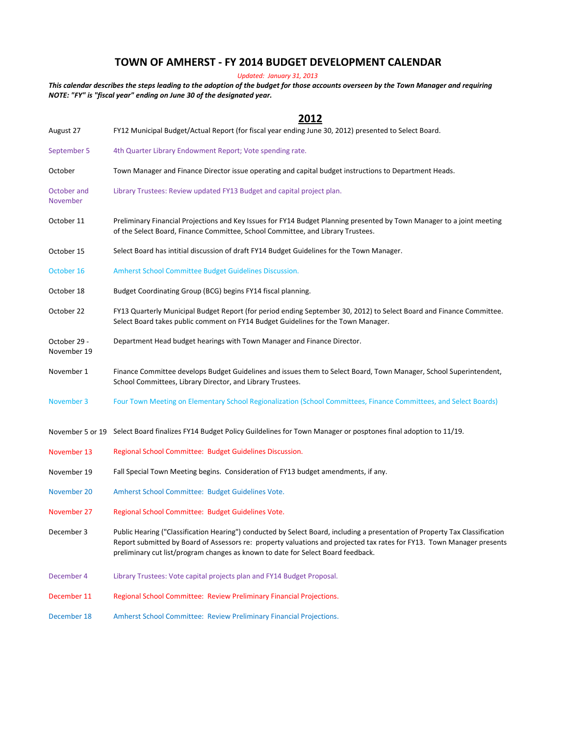## **TOWN OF AMHERST - FY 2014 BUDGET DEVELOPMENT CALENDAR**

*Updated: January 31, 2013*

*NOTE: "FY" is "fiscal year" ending on June 30 of the designated year. This calendar describes the steps leading to the adoption of the budget for those accounts overseen by the Town Manager and requiring* 

|                             | ZUIZ                                                                                                                                                                                                                                                                                                                                       |
|-----------------------------|--------------------------------------------------------------------------------------------------------------------------------------------------------------------------------------------------------------------------------------------------------------------------------------------------------------------------------------------|
| August 27                   | FY12 Municipal Budget/Actual Report (for fiscal year ending June 30, 2012) presented to Select Board.                                                                                                                                                                                                                                      |
| September 5                 | 4th Quarter Library Endowment Report; Vote spending rate.                                                                                                                                                                                                                                                                                  |
| October                     | Town Manager and Finance Director issue operating and capital budget instructions to Department Heads.                                                                                                                                                                                                                                     |
| October and<br>November     | Library Trustees: Review updated FY13 Budget and capital project plan.                                                                                                                                                                                                                                                                     |
| October 11                  | Preliminary Financial Projections and Key Issues for FY14 Budget Planning presented by Town Manager to a joint meeting<br>of the Select Board, Finance Committee, School Committee, and Library Trustees.                                                                                                                                  |
| October 15                  | Select Board has intitial discussion of draft FY14 Budget Guidelines for the Town Manager.                                                                                                                                                                                                                                                 |
| October 16                  | Amherst School Committee Budget Guidelines Discussion.                                                                                                                                                                                                                                                                                     |
| October 18                  | Budget Coordinating Group (BCG) begins FY14 fiscal planning.                                                                                                                                                                                                                                                                               |
| October 22                  | FY13 Quarterly Municipal Budget Report (for period ending September 30, 2012) to Select Board and Finance Committee.<br>Select Board takes public comment on FY14 Budget Guidelines for the Town Manager.                                                                                                                                  |
| October 29 -<br>November 19 | Department Head budget hearings with Town Manager and Finance Director.                                                                                                                                                                                                                                                                    |
| November 1                  | Finance Committee develops Budget Guidelines and issues them to Select Board, Town Manager, School Superintendent,<br>School Committees, Library Director, and Library Trustees.                                                                                                                                                           |
| November 3                  | Four Town Meeting on Elementary School Regionalization (School Committees, Finance Committees, and Select Boards)                                                                                                                                                                                                                          |
|                             | November 5 or 19 Select Board finalizes FY14 Budget Policy Guildelines for Town Manager or posptones final adoption to 11/19.                                                                                                                                                                                                              |
| November 13                 | Regional School Committee: Budget Guidelines Discussion.                                                                                                                                                                                                                                                                                   |
| November 19                 | Fall Special Town Meeting begins. Consideration of FY13 budget amendments, if any.                                                                                                                                                                                                                                                         |
| November 20                 | Amherst School Committee: Budget Guidelines Vote.                                                                                                                                                                                                                                                                                          |
| November 27                 | Regional School Committee: Budget Guidelines Vote.                                                                                                                                                                                                                                                                                         |
| December 3                  | Public Hearing ("Classification Hearing") conducted by Select Board, including a presentation of Property Tax Classification<br>Report submitted by Board of Assessors re: property valuations and projected tax rates for FY13. Town Manager presents<br>preliminary cut list/program changes as known to date for Select Board feedback. |
| December 4                  | Library Trustees: Vote capital projects plan and FY14 Budget Proposal.                                                                                                                                                                                                                                                                     |
| December 11                 | Regional School Committee: Review Preliminary Financial Projections.                                                                                                                                                                                                                                                                       |
| December 18                 | Amherst School Committee: Review Preliminary Financial Projections.                                                                                                                                                                                                                                                                        |